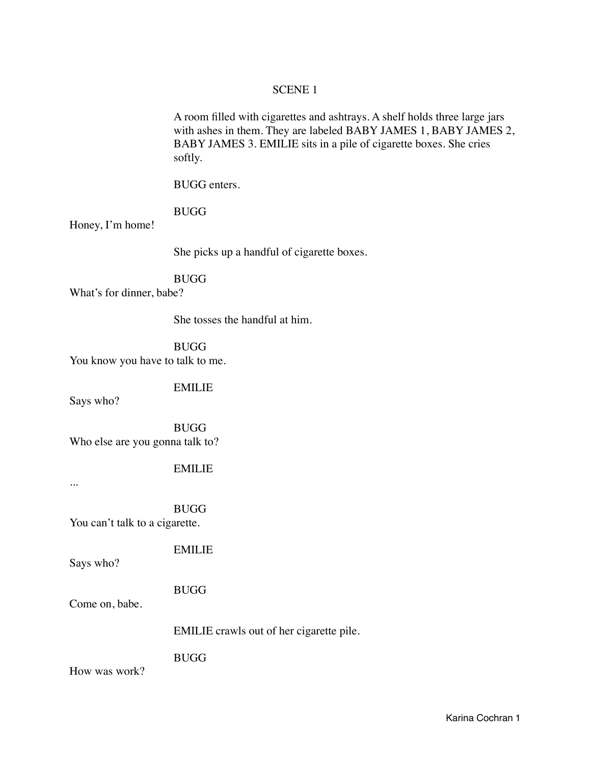## SCENE 1

A room filled with cigarettes and ashtrays. A shelf holds three large jars with ashes in them. They are labeled BABY JAMES 1, BABY JAMES 2, BABY JAMES 3. EMILIE sits in a pile of cigarette boxes. She cries softly.

BUGG enters.

### **BUGG**

Honey, I'm home!

 She picks up a handful of cigarette boxes.

### BUGG

What's for dinner, babe?

 She tosses the handful at him.

 BUGG You know you have to talk to me.

 EMILIE

Says who?

 BUGG Who else are you gonna talk to?

 EMILIE

...

 BUGG

You can't talk to a cigarette.

 EMILIE

Says who?

 BUGG

Come on, babe.

 EMILIE crawls out of her cigarette pile.

 BUGG

How was work?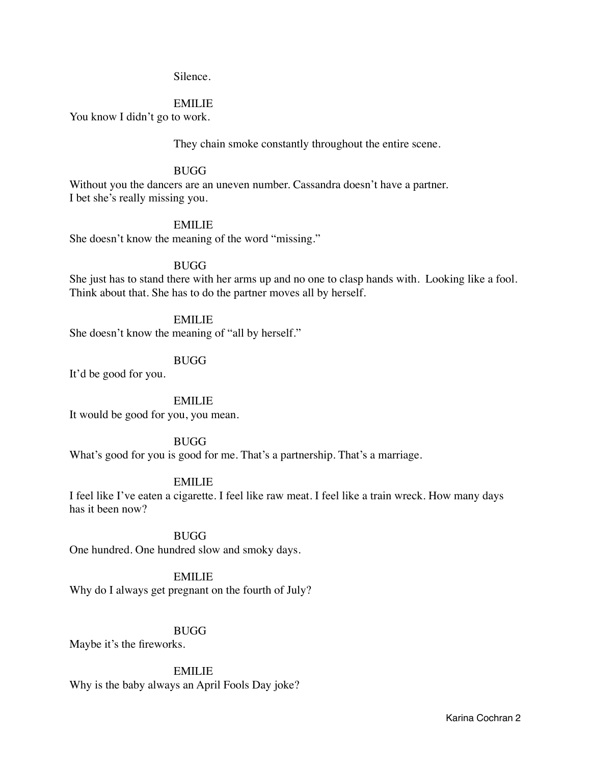#### Silence.

#### EMILIE

You know I didn't go to work.

 They chain smoke constantly throughout the entire scene.

#### **BUGG**

Without you the dancers are an uneven number. Cassandra doesn't have a partner. I bet she's really missing you.

### EMILIE

She doesn't know the meaning of the word "missing."

### BUGG

She just has to stand there with her arms up and no one to clasp hands with. Looking like a fool. Think about that. She has to do the partner moves all by herself.

#### EMILIE

She doesn't know the meaning of "all by herself."

#### BUGG

It'd be good for you.

 EMILIE It would be good for you, you mean.

#### BUGG

What's good for you is good for me. That's a partnership. That's a marriage.

#### EMILIE

I feel like I've eaten a cigarette. I feel like raw meat. I feel like a train wreck. How many days has it been now?

#### **BUGG**

One hundred. One hundred slow and smoky days.

## EMILIE

Why do I always get pregnant on the fourth of July?

### BUGG

Maybe it's the fireworks.

### EMILIE

Why is the baby always an April Fools Day joke?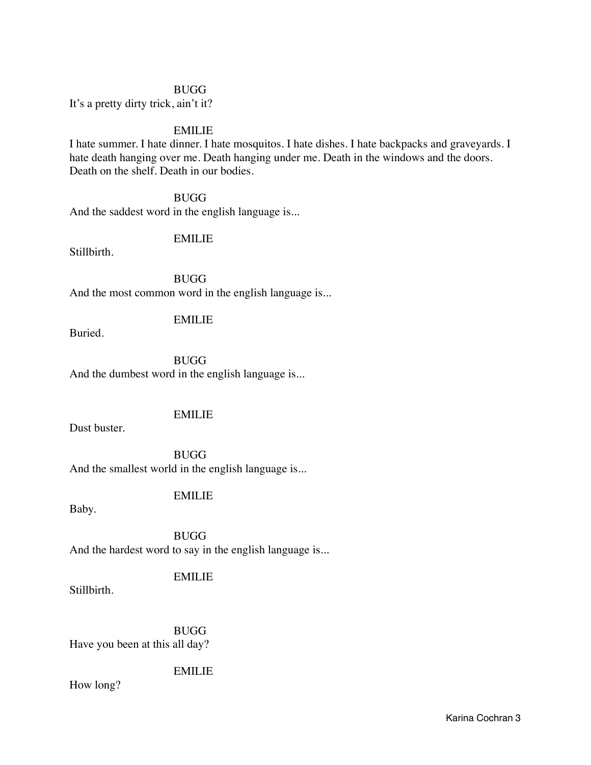#### **BUGG**

It's a pretty dirty trick, ain't it?

# EMILIE

I hate summer. I hate dinner. I hate mosquitos. I hate dishes. I hate backpacks and graveyards. I hate death hanging over me. Death hanging under me. Death in the windows and the doors. Death on the shelf. Death in our bodies.

#### BUGG

And the saddest word in the english language is...

## EMILIE

Stillbirth.

 BUGG And the most common word in the english language is...

## EMILIE

Buried.

 BUGG And the dumbest word in the english language is...

# EMILIE

Dust buster.

**BUGG** And the smallest world in the english language is...

## EMILIE

Baby.

**BUGG** And the hardest word to say in the english language is...

### EMILIE

Stillbirth.

 BUGG Have you been at this all day?

# EMILIE

How long?